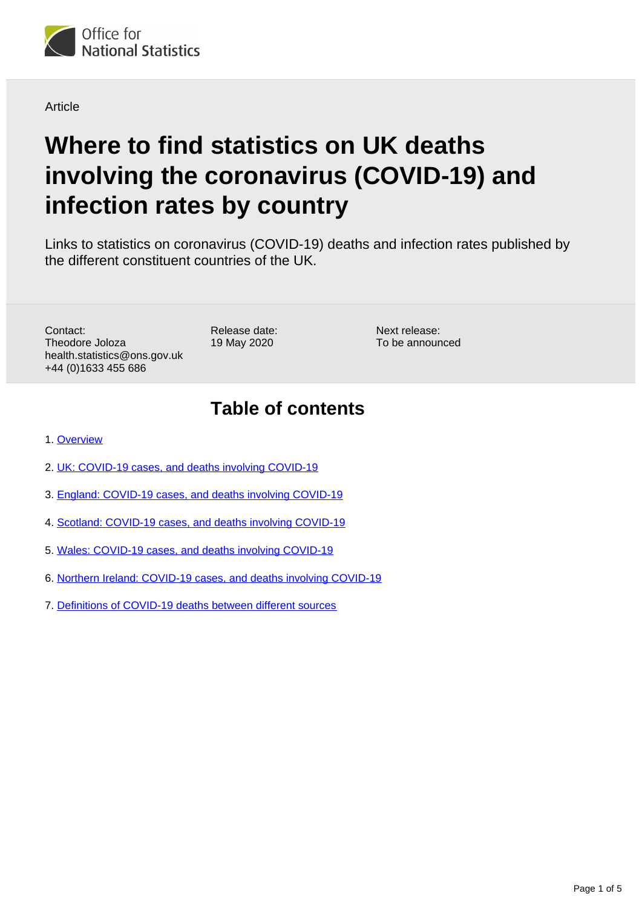

**Article** 

# **Where to find statistics on UK deaths involving the coronavirus (COVID-19) and infection rates by country**

Links to statistics on coronavirus (COVID-19) deaths and infection rates published by the different constituent countries of the UK.

Contact: Theodore Joloza health.statistics@ons.gov.uk +44 (0)1633 455 686

Release date: 19 May 2020

Next release: To be announced

## **Table of contents**

- 1. [Overview](#page-1-0)
- 2. [UK: COVID-19 cases, and deaths involving COVID-19](#page-1-1)
- 3. [England: COVID-19 cases, and deaths involving COVID-19](#page-1-2)
- 4. [Scotland: COVID-19 cases, and deaths involving COVID-19](#page-2-0)
- 5. [Wales: COVID-19 cases, and deaths involving COVID-19](#page-3-0)
- 6. [Northern Ireland: COVID-19 cases, and deaths involving COVID-19](#page-3-1)
- 7. [Definitions of COVID-19 deaths between different sources](#page-4-0)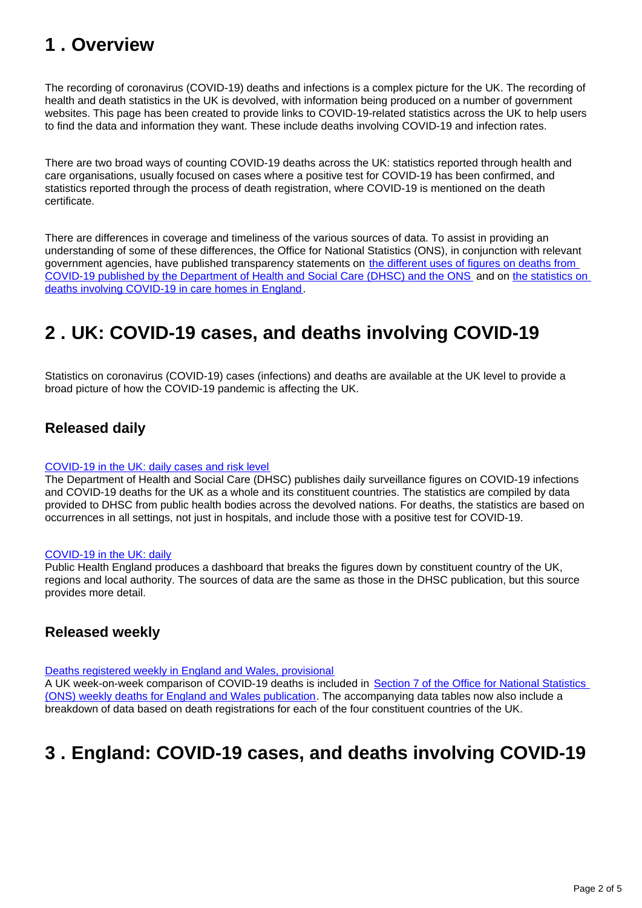## <span id="page-1-0"></span>**1 . Overview**

The recording of coronavirus (COVID-19) deaths and infections is a complex picture for the UK. The recording of health and death statistics in the UK is devolved, with information being produced on a number of government websites. This page has been created to provide links to COVID-19-related statistics across the UK to help users to find the data and information they want. These include deaths involving COVID-19 and infection rates.

There are two broad ways of counting COVID-19 deaths across the UK: statistics reported through health and care organisations, usually focused on cases where a positive test for COVID-19 has been confirmed, and statistics reported through the process of death registration, where COVID-19 is mentioned on the death certificate.

There are differences in coverage and timeliness of the various sources of data. To assist in providing an understanding of some of these differences, the Office for National Statistics (ONS), in conjunction with relevant government agencies, have published transparency statements on the different uses of figures on deaths from [COVID-19 published by the Department of Health and Social Care \(DHSC\) and the ONS](https://www.ons.gov.uk/news/statementsandletters/thedifferentusesoffiguresondeathsfromcovid19publishedbydhscandtheons) and on [the statistics on](https://www.ons.gov.uk/news/statementsandletters/publicationofstatisticsondeathsinvolvingcovid19incarehomesinenglandtransparencystatement)  [deaths involving COVID-19 in care homes in England](https://www.ons.gov.uk/news/statementsandletters/publicationofstatisticsondeathsinvolvingcovid19incarehomesinenglandtransparencystatement).

## <span id="page-1-1"></span>**2 . UK: COVID-19 cases, and deaths involving COVID-19**

Statistics on coronavirus (COVID-19) cases (infections) and deaths are available at the UK level to provide a broad picture of how the COVID-19 pandemic is affecting the UK.

## **Released daily**

#### [COVID-19 in the UK: daily cases and risk level](https://www.gov.uk/guidance/coronavirus-covid-19-information-for-the-public#number-of-cases-and-deaths)

The Department of Health and Social Care (DHSC) publishes daily surveillance figures on COVID-19 infections and COVID-19 deaths for the UK as a whole and its constituent countries. The statistics are compiled by data provided to DHSC from public health bodies across the devolved nations. For deaths, the statistics are based on occurrences in all settings, not just in hospitals, and include those with a positive test for COVID-19.

#### [COVID-19 in the UK: daily](https://coronavirus.data.gov.uk/)

Public Health England produces a dashboard that breaks the figures down by constituent country of the UK, regions and local authority. The sources of data are the same as those in the DHSC publication, but this source provides more detail.

### **Released weekly**

[Deaths registered weekly in England and Wales, provisional](https://www.ons.gov.uk/peoplepopulationandcommunity/birthsdeathsandmarriages/deaths/datasets/weeklyprovisionalfiguresondeathsregisteredinenglandandwales)

A UK week-on-week comparison of COVID-19 deaths is included in [Section 7 of the Office for National Statistics](https://www.ons.gov.uk/peoplepopulationandcommunity/birthsdeathsandmarriages/deaths/bulletins/deathsregisteredweeklyinenglandandwalesprovisional/weekending8may2020#deaths-registered-in-the-uk)  [\(ONS\) weekly deaths for England and Wales publication.](https://www.ons.gov.uk/peoplepopulationandcommunity/birthsdeathsandmarriages/deaths/bulletins/deathsregisteredweeklyinenglandandwalesprovisional/weekending8may2020#deaths-registered-in-the-uk) The accompanying data tables now also include a breakdown of data based on death registrations for each of the four constituent countries of the UK.

## <span id="page-1-2"></span>**3 . England: COVID-19 cases, and deaths involving COVID-19**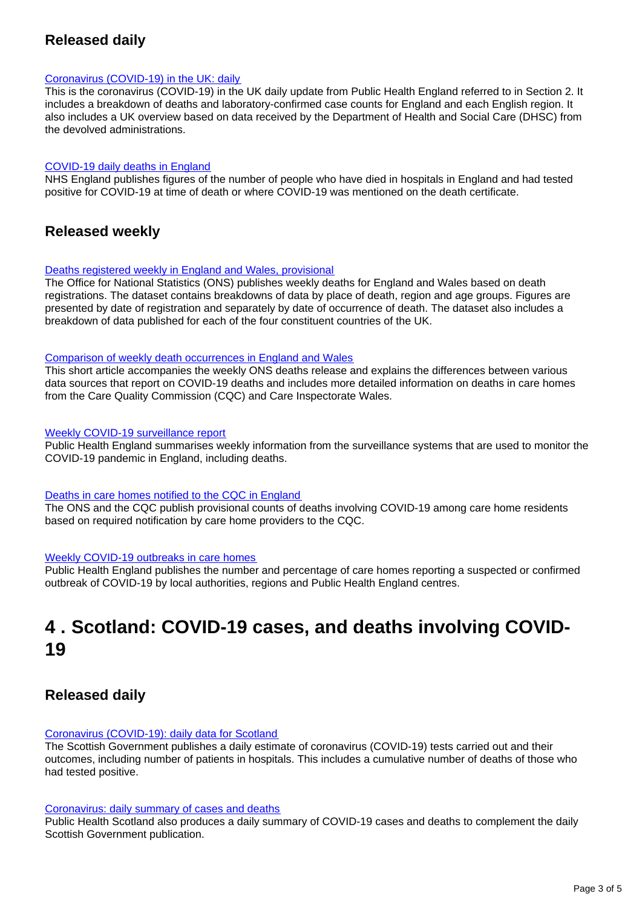## **Released daily**

#### [Coronavirus \(COVID-19\) in the UK: daily](https://coronavirus.data.gov.uk/)

This is the coronavirus (COVID-19) in the UK daily update from Public Health England referred to in Section 2. It includes a breakdown of deaths and laboratory-confirmed case counts for England and each English region. It also includes a UK overview based on data received by the Department of Health and Social Care (DHSC) from the devolved administrations.

#### [COVID-19 daily deaths in England](https://www.england.nhs.uk/statistics/statistical-work-areas/covid-19-daily-deaths/)

NHS England publishes figures of the number of people who have died in hospitals in England and had tested positive for COVID-19 at time of death or where COVID-19 was mentioned on the death certificate.

### **Released weekly**

#### [Deaths registered weekly in England and Wales, provisional](https://www.ons.gov.uk/peoplepopulationandcommunity/birthsdeathsandmarriages/deaths/datasets/weeklyprovisionalfiguresondeathsregisteredinenglandandwales)

The Office for National Statistics (ONS) publishes weekly deaths for England and Wales based on death registrations. The dataset contains breakdowns of data by place of death, region and age groups. Figures are presented by date of registration and separately by date of occurrence of death. The dataset also includes a breakdown of data published for each of the four constituent countries of the UK.

#### [Comparison of weekly death occurrences in England and Wales](https://www.ons.gov.uk/peoplepopulationandcommunity/healthandsocialcare/causesofdeath/articles/comparisonofweeklydeathoccurrencesinenglandandwales/latest)

This short article accompanies the weekly ONS deaths release and explains the differences between various data sources that report on COVID-19 deaths and includes more detailed information on deaths in care homes from the Care Quality Commission (CQC) and Care Inspectorate Wales.

#### [Weekly COVID-19 surveillance report](https://www.gov.uk/government/news/weekly-covid-19-surveillance-report-published)

Public Health England summarises weekly information from the surveillance systems that are used to monitor the COVID-19 pandemic in England, including deaths.

#### [Deaths in care homes notified to the CQC in England](https://www.ons.gov.uk/peoplepopulationandcommunity/birthsdeathsandmarriages/deaths/datasets/numberofdeathsincarehomesnotifiedtothecarequalitycommissionengland)

The ONS and the CQC publish provisional counts of deaths involving COVID-19 among care home residents based on required notification by care home providers to the CQC.

#### [Weekly COVID-19 outbreaks in care homes](https://www.gov.uk/government/statistical-data-sets/covid-19-number-of-outbreaks-in-care-homes-management-information)

Public Health England publishes the number and percentage of care homes reporting a suspected or confirmed outbreak of COVID-19 by local authorities, regions and Public Health England centres.

## <span id="page-2-0"></span>**4 . Scotland: COVID-19 cases, and deaths involving COVID-19**

### **Released daily**

#### [Coronavirus \(COVID-19\): daily data for Scotland](https://www.gov.scot/publications/coronavirus-covid-19-daily-data-for-scotland/)

The Scottish Government publishes a daily estimate of coronavirus (COVID-19) tests carried out and their outcomes, including number of patients in hospitals. This includes a cumulative number of deaths of those who had tested positive.

#### [Coronavirus: daily summary of cases and deaths](https://www.arcgis.com/apps/opsdashboard/index.html#/658feae0ab1d432f9fdb53aa082e4130)

Public Health Scotland also produces a daily summary of COVID-19 cases and deaths to complement the daily Scottish Government publication.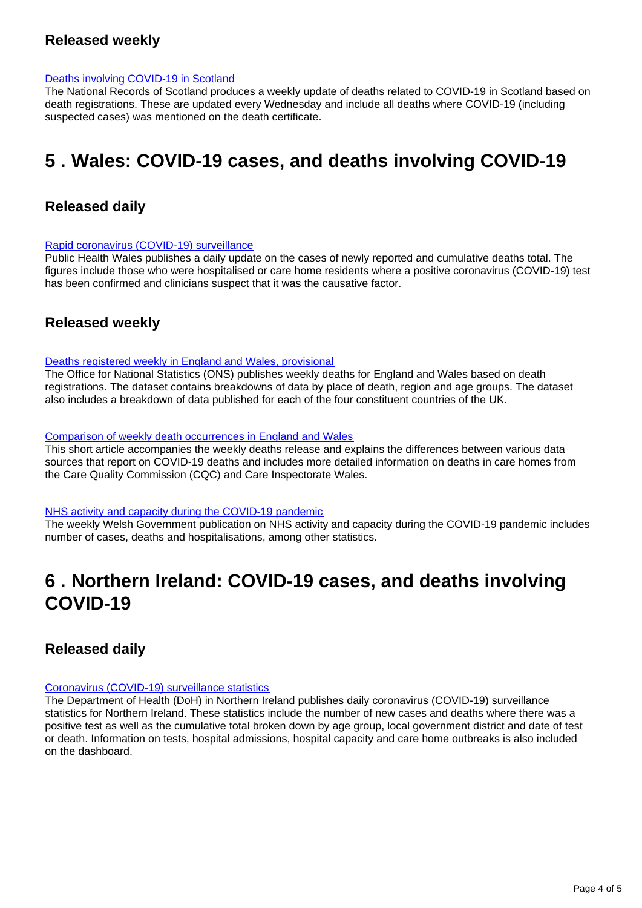### **Released weekly**

#### [Deaths involving COVID-19 in Scotland](https://www.nrscotland.gov.uk/covid19stats)

The National Records of Scotland produces a weekly update of deaths related to COVID-19 in Scotland based on death registrations. These are updated every Wednesday and include all deaths where COVID-19 (including suspected cases) was mentioned on the death certificate.

## <span id="page-3-0"></span>**5 . Wales: COVID-19 cases, and deaths involving COVID-19**

### **Released daily**

#### [Rapid coronavirus \(COVID-19\) surveillance](https://public.tableau.com/profile/public.health.wales.health.protection#!/vizhome/RapidCOVID-19virology-Public/Headlinesummary)

Public Health Wales publishes a daily update on the cases of newly reported and cumulative deaths total. The figures include those who were hospitalised or care home residents where a positive coronavirus (COVID-19) test has been confirmed and clinicians suspect that it was the causative factor.

### **Released weekly**

#### [Deaths registered weekly in England and Wales, provisional](https://www.ons.gov.uk/peoplepopulationandcommunity/birthsdeathsandmarriages/deaths/datasets/weeklyprovisionalfiguresondeathsregisteredinenglandandwales)

The Office for National Statistics (ONS) publishes weekly deaths for England and Wales based on death registrations. The dataset contains breakdowns of data by place of death, region and age groups. The dataset also includes a breakdown of data published for each of the four constituent countries of the UK.

#### [Comparison of weekly death occurrences in England and Wales](https://www.ons.gov.uk/peoplepopulationandcommunity/healthandsocialcare/causesofdeath/articles/comparisonofweeklydeathoccurrencesinenglandandwales/latest)

This short article accompanies the weekly deaths release and explains the differences between various data sources that report on COVID-19 deaths and includes more detailed information on deaths in care homes from the Care Quality Commission (CQC) and Care Inspectorate Wales.

#### [NHS activity and capacity during the COVID-19 pandemic](https://gov.wales/nhs-activity-and-capacity-during-coronavirus-covid-19-pandemic-30-april-2020)

The weekly Welsh Government publication on NHS activity and capacity during the COVID-19 pandemic includes number of cases, deaths and hospitalisations, among other statistics.

## <span id="page-3-1"></span>**6 . Northern Ireland: COVID-19 cases, and deaths involving COVID-19**

### **Released daily**

#### [Coronavirus \(COVID-19\) surveillance statistics](https://app.powerbi.com/view?r=eyJrIjoiZGYxNjYzNmUtOTlmZS00ODAxLWE1YTEtMjA0NjZhMzlmN2JmIiwidCI6IjljOWEzMGRlLWQ4ZDctNGFhNC05NjAwLTRiZTc2MjVmZjZjNSIsImMiOjh9)

The Department of Health (DoH) in Northern Ireland publishes daily coronavirus (COVID-19) surveillance statistics for Northern Ireland. These statistics include the number of new cases and deaths where there was a positive test as well as the cumulative total broken down by age group, local government district and date of test or death. Information on tests, hospital admissions, hospital capacity and care home outbreaks is also included on the dashboard.